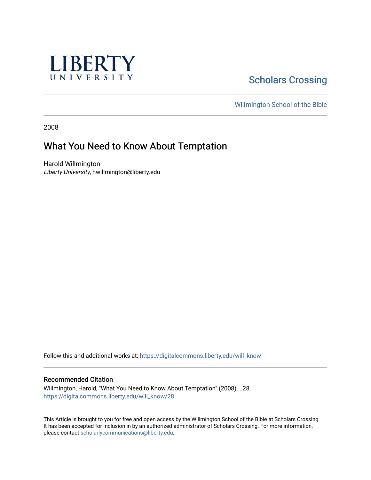

## **Scholars Crossing**

[Willmington School of the Bible](https://digitalcommons.liberty.edu/will_bible) 

2008

## What You Need to Know About Temptation

Harold Willmington Liberty University, hwillmington@liberty.edu

Follow this and additional works at: [https://digitalcommons.liberty.edu/will\\_know](https://digitalcommons.liberty.edu/will_know?utm_source=digitalcommons.liberty.edu%2Fwill_know%2F28&utm_medium=PDF&utm_campaign=PDFCoverPages)

#### Recommended Citation

Willmington, Harold, "What You Need to Know About Temptation" (2008). . 28. [https://digitalcommons.liberty.edu/will\\_know/28](https://digitalcommons.liberty.edu/will_know/28?utm_source=digitalcommons.liberty.edu%2Fwill_know%2F28&utm_medium=PDF&utm_campaign=PDFCoverPages) 

This Article is brought to you for free and open access by the Willmington School of the Bible at Scholars Crossing. It has been accepted for inclusion in by an authorized administrator of Scholars Crossing. For more information, please contact [scholarlycommunications@liberty.edu.](mailto:scholarlycommunications@liberty.edu)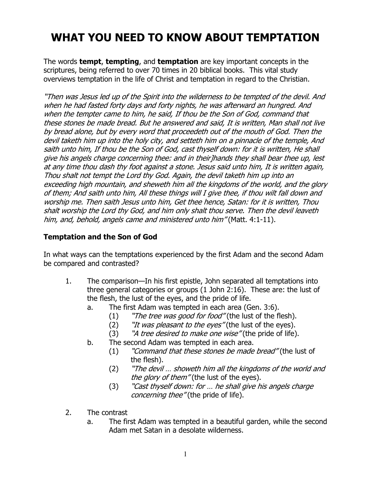# WHAT YOU NEED TO KNOW ABOUT TEMPTATION

The words **tempt, tempting,** and **temptation** are key important concepts in the scriptures, being referred to over 70 times in 20 biblical books. This vital study overviews temptation in the life of Christ and temptation in regard to the Christian.

"Then was Jesus led up of the Spirit into the wilderness to be tempted of the devil. And when he had fasted forty days and forty nights, he was afterward an hungred. And when the tempter came to him, he said, If thou be the Son of God, command that these stones be made bread. But he answered and said, It is written, Man shall not live by bread alone, but by every word that proceedeth out of the mouth of God. Then the devil taketh him up into the holy city, and setteth him on a pinnacle of the temple, And saith unto him, If thou be the Son of God, cast thyself down: for it is written, He shall give his angels charge concerning thee: and in their]hands they shall bear thee up, lest at any time thou dash thy foot against a stone. Jesus said unto him, It is written again, Thou shalt not tempt the Lord thy God. Again, the devil taketh him up into an exceeding high mountain, and sheweth him all the kingdoms of the world, and the glory of them; And saith unto him, All these things will I give thee, if thou wilt fall down and worship me. Then saith Jesus unto him, Get thee hence, Satan: for it is written, Thou shalt worship the Lord thy God, and him only shalt thou serve. Then the devil leaveth him, and, behold, angels came and ministered unto him" (Matt. 4:1-11).

### Temptation and the Son of God

In what ways can the temptations experienced by the first Adam and the second Adam be compared and contrasted?

- 1. The comparison—In his first epistle, John separated all temptations into three general categories or groups (1 John 2:16). These are: the lust of the flesh, the lust of the eyes, and the pride of life.
	- a. The first Adam was tempted in each area (Gen. 3:6).
		- (1) "The tree was good for food" (the lust of the flesh).
		- (2) "It was pleasant to the eyes" (the lust of the eyes).
		- (3) "A tree desired to make one wise" (the pride of life).
	- b. The second Adam was tempted in each area.
		- $(1)$  "Command that these stones be made bread" (the lust of the flesh).
		- (2) "The devil … showeth him all the kingdoms of the world and the glory of them" (the lust of the eyes).
		- (3) "Cast thyself down: for … he shall give his angels charge concerning thee" (the pride of life).
- 2. The contrast
	- a. The first Adam was tempted in a beautiful garden, while the second Adam met Satan in a desolate wilderness.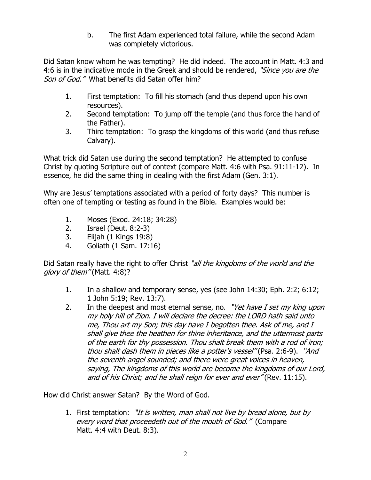b. The first Adam experienced total failure, while the second Adam was completely victorious.

Did Satan know whom he was tempting? He did indeed. The account in Matt. 4:3 and 4:6 is in the indicative mode in the Greek and should be rendered, "Since you are the Son of God." What benefits did Satan offer him?

- 1. First temptation: To fill his stomach (and thus depend upon his own resources).
- 2. Second temptation: To jump off the temple (and thus force the hand of the Father).
- 3. Third temptation: To grasp the kingdoms of this world (and thus refuse Calvary).

What trick did Satan use during the second temptation? He attempted to confuse Christ by quoting Scripture out of context (compare Matt. 4:6 with Psa. 91:11-12). In essence, he did the same thing in dealing with the first Adam (Gen. 3:1).

Why are Jesus' temptations associated with a period of forty days? This number is often one of tempting or testing as found in the Bible. Examples would be:

- 1. Moses (Exod. 24:18; 34:28)
- 2. Israel (Deut. 8:2-3)
- 3. Elijah (1 Kings 19:8)
- 4. Goliath (1 Sam. 17:16)

Did Satan really have the right to offer Christ "all the kingdoms of the world and the glory of them" (Matt. 4:8)?

- 1. In a shallow and temporary sense, yes (see John 14:30; Eph. 2:2; 6:12; 1 John 5:19; Rev. 13:7).
- 2. In the deepest and most eternal sense, no. "Yet have I set my king upon my holy hill of Zion. I will declare the decree: the LORD hath said unto me, Thou art my Son; this day have I begotten thee. Ask of me, and I shall give thee the heathen for thine inheritance, and the uttermost parts of the earth for thy possession. Thou shalt break them with a rod of iron; thou shalt dash them in pieces like a potter's vessel" (Psa. 2:6-9). "And the seventh angel sounded; and there were great voices in heaven, saying, The kingdoms of this world are become the kingdoms of our Lord, and of his Christ; and he shall reign for ever and ever" (Rev. 11:15).

How did Christ answer Satan? By the Word of God.

1. First temptation: "It is written, man shall not live by bread alone, but by every word that proceedeth out of the mouth of God." (Compare Matt. 4:4 with Deut. 8:3).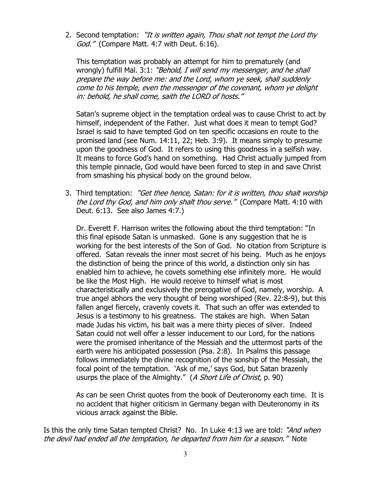2. Second temptation: "It is written again, Thou shalt not tempt the Lord thy God." (Compare Matt. 4:7 with Deut. 6:16).

This temptation was probably an attempt for him to prematurely (and wrongly) fulfill Mal. 3:1: "Behold, I will send my messenger, and he shall prepare the way before me: and the Lord, whom ye seek, shall suddenly come to his temple, even the messenger of the covenant, whom ye delight in: behold, he shall come, saith the LORD of hosts."

Satan's supreme object in the temptation ordeal was to cause Christ to act by himself, independent of the Father. Just what does it mean to tempt God? Israel is said to have tempted God on ten specific occasions en route to the promised land (see Num. 14:11, 22; Heb. 3:9). It means simply to presume upon the goodness of God. It refers to using this goodness in a selfish way. It means to force God's hand on something. Had Christ actually jumped from this temple pinnacle, God would have been forced to step in and save Christ from smashing his physical body on the ground below.

3. Third temptation: "Get thee hence, Satan: for it is written, thou shalt worship the Lord thy God, and him only shalt thou serve." (Compare Matt. 4:10 with Deut. 6:13. See also James 4:7.)

 Dr. Everett F. Harrison writes the following about the third temptation: "In this final episode Satan is unmasked. Gone is any suggestion that he is working for the best interests of the Son of God. No citation from Scripture is offered. Satan reveals the inner most secret of his being. Much as he enjoys the distinction of being the prince of this world, a distinction only sin has enabled him to achieve, he covets something else infinitely more. He would be like the Most High. He would receive to himself what is most characteristically and exclusively the prerogative of God, namely, worship. A true angel abhors the very thought of being worshiped (Rev. 22:8-9), but this fallen angel fiercely, cravenly covets it. That such an offer was extended to Jesus is a testimony to his greatness. The stakes are high. When Satan made Judas his victim, his bait was a mere thirty pieces of silver. Indeed Satan could not well offer a lesser inducement to our Lord, for the nations were the promised inheritance of the Messiah and the uttermost parts of the earth were his anticipated possession (Psa. 2:8). In Psalms this passage follows immediately the divine recognition of the sonship of the Messiah, the focal point of the temptation. 'Ask of me,' says God, but Satan brazenly usurps the place of the Almighty." (A Short Life of Christ, p. 90)

 As can be seen Christ quotes from the book of Deuteronomy each time. It is no accident that higher criticism in Germany began with Deuteronomy in its vicious arrack against the Bible.

Is this the only time Satan tempted Christ? No. In Luke 4:13 we are told: "And when the devil had ended all the temptation, he departed from him for a season." Note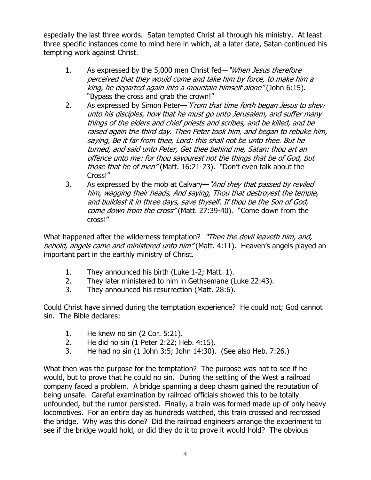especially the last three words. Satan tempted Christ all through his ministry. At least three specific instances come to mind here in which, at a later date, Satan continued his tempting work against Christ.

- 1. As expressed by the 5,000 men Christ fed—"When Jesus therefore perceived that they would come and take him by force, to make him a king, he departed again into a mountain himself alone" (John 6:15). "Bypass the cross and grab the crown!"
- 2. As expressed by Simon Peter—"From that time forth began Jesus to shew unto his disciples, how that he must go unto Jerusalem, and suffer many things of the elders and chief priests and scribes, and be killed, and be raised again the third day. Then Peter took him, and began to rebuke him, saying, Be it far from thee, Lord: this shall not be unto thee. But he turned, and said unto Peter, Get thee behind me, Satan: thou art an offence unto me: for thou savourest not the things that be of God, but those that be of men" (Matt. 16:21-23). "Don't even talk about the Cross!"
- 3. As expressed by the mob at Calvary—"And they that passed by reviled him, wagging their heads, And saying, Thou that destroyest the temple, and buildest it in three days, save thyself. If thou be the Son of God, come down from the cross" (Matt. 27:39-40). "Come down from the cross!"

What happened after the wilderness temptation? "Then the devil leaveth him, and, behold, angels came and ministered unto him" (Matt. 4:11). Heaven's angels played an important part in the earthly ministry of Christ.

- 1. They announced his birth (Luke 1-2; Matt. 1).
- 2. They later ministered to him in Gethsemane (Luke 22:43).
- 3. They announced his resurrection (Matt. 28:6).

Could Christ have sinned during the temptation experience? He could not; God cannot sin. The Bible declares:

- 1. He knew no sin (2 Cor. 5:21).
- 2. He did no sin (1 Peter 2:22; Heb. 4:15).
- 3. He had no sin (1 John 3:5; John 14:30). (See also Heb. 7:26.)

What then was the purpose for the temptation? The purpose was not to see if he would, but to prove that he could no sin. During the settling of the West a railroad company faced a problem. A bridge spanning a deep chasm gained the reputation of being unsafe. Careful examination by railroad officials showed this to be totally unfounded, but the rumor persisted. Finally, a train was formed made up of only heavy locomotives. For an entire day as hundreds watched, this train crossed and recrossed the bridge. Why was this done? Did the railroad engineers arrange the experiment to see if the bridge would hold, or did they do it to prove it would hold? The obvious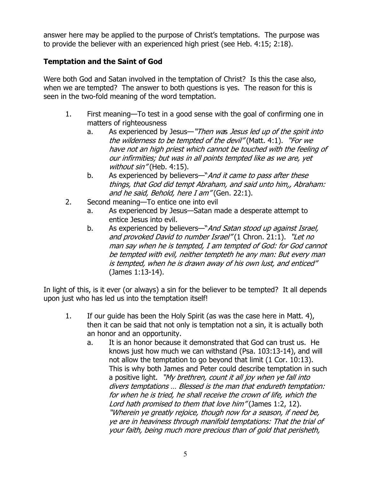answer here may be applied to the purpose of Christ's temptations. The purpose was to provide the believer with an experienced high priest (see Heb. 4:15; 2:18).

### Temptation and the Saint of God

Were both God and Satan involved in the temptation of Christ? Is this the case also, when we are tempted? The answer to both questions is yes. The reason for this is seen in the two-fold meaning of the word temptation.

- 1. First meaning—To test in a good sense with the goal of confirming one in matters of righteousness
	- a. As experienced by Jesus—"Then was Jesus led up of the spirit into the wilderness to be tempted of the devil" (Matt. 4:1). "For we have not an high priest which cannot be touched with the feeling of our infirmities; but was in all points tempted like as we are, yet without sin" (Heb. 4:15).
	- b. As experienced by believers—"And it came to pass after these things, that God did tempt Abraham, and said unto him,, Abraham: and he said, Behold, here I am" (Gen. 22:1).
- 2. Second meaning—To entice one into evil
	- a. As experienced by Jesus—Satan made a desperate attempt to entice Jesus into evil.
	- b. As experienced by believers—"And Satan stood up against Israel, and provoked David to number Israel" (1 Chron. 21:1). "Let no man say when he is tempted, I am tempted of God: for God cannot be tempted with evil, neither tempteth he any man: But every man is tempted, when he is drawn away of his own lust, and enticed" (James 1:13-14).

In light of this, is it ever (or always) a sin for the believer to be tempted? It all depends upon just who has led us into the temptation itself!

- 1. If our guide has been the Holy Spirit (as was the case here in Matt. 4), then it can be said that not only is temptation not a sin, it is actually both an honor and an opportunity.
	- a. It is an honor because it demonstrated that God can trust us. He knows just how much we can withstand (Psa. 103:13-14), and will not allow the temptation to go beyond that limit (1 Cor. 10:13). This is why both James and Peter could describe temptation in such a positive light. "My brethren, count it all joy when ye fall into divers temptations … Blessed is the man that endureth temptation: for when he is tried, he shall receive the crown of life, which the Lord hath promised to them that love him" (James 1:2, 12). "Wherein ye greatly rejoice, though now for a season, if need be, ye are in heaviness through manifold temptations: That the trial of your faith, being much more precious than of gold that perisheth,